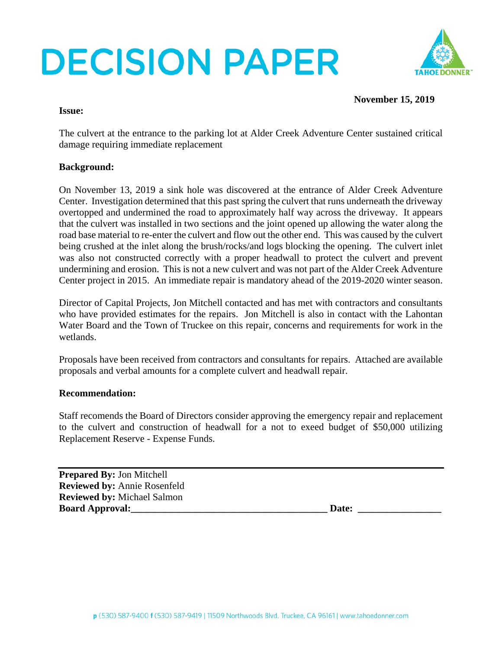# **DECISION PAPER**



### **November 15, 2019**

#### **Issue:**

The culvert at the entrance to the parking lot at Alder Creek Adventure Center sustained critical damage requiring immediate replacement

### **Background:**

On November 13, 2019 a sink hole was discovered at the entrance of Alder Creek Adventure Center. Investigation determined that this past spring the culvert that runs underneath the driveway overtopped and undermined the road to approximately half way across the driveway. It appears that the culvert was installed in two sections and the joint opened up allowing the water along the road base material to re-enter the culvert and flow out the other end. This was caused by the culvert being crushed at the inlet along the brush/rocks/and logs blocking the opening. The culvert inlet was also not constructed correctly with a proper headwall to protect the culvert and prevent undermining and erosion. This is not a new culvert and was not part of the Alder Creek Adventure Center project in 2015. An immediate repair is mandatory ahead of the 2019-2020 winter season.

Director of Capital Projects, Jon Mitchell contacted and has met with contractors and consultants who have provided estimates for the repairs. Jon Mitchell is also in contact with the Lahontan Water Board and the Town of Truckee on this repair, concerns and requirements for work in the wetlands.

Proposals have been received from contractors and consultants for repairs. Attached are available proposals and verbal amounts for a complete culvert and headwall repair.

#### **Recommendation:**

Staff recomends the Board of Directors consider approving the emergency repair and replacement to the culvert and construction of headwall for a not to exeed budget of \$50,000 utilizing Replacement Reserve - Expense Funds.

**Prepared By:** Jon Mitchell **Reviewed by:** Annie Rosenfeld **Reviewed by:** Michael Salmon **Board Approval:** <u>Date:</u> **Date:** <u>Date:</u> **Date: Date: Date: Date: Date: Date: Date: Date: Date: Date: Date: Date: Date: Date: Date: Date: Date: Date: Date: Date: Date: Date: Dat**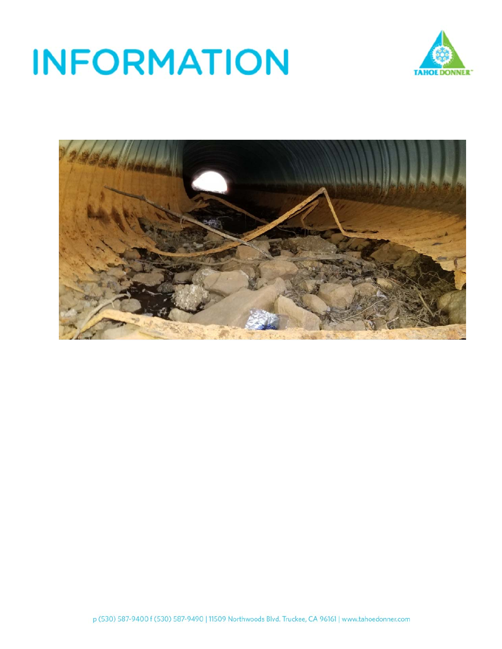

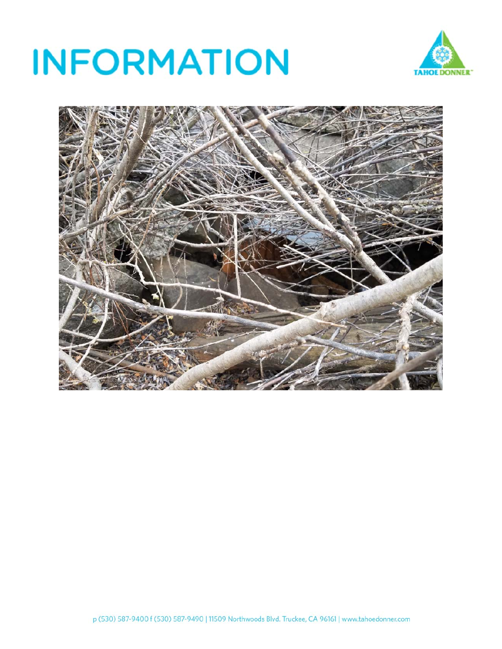

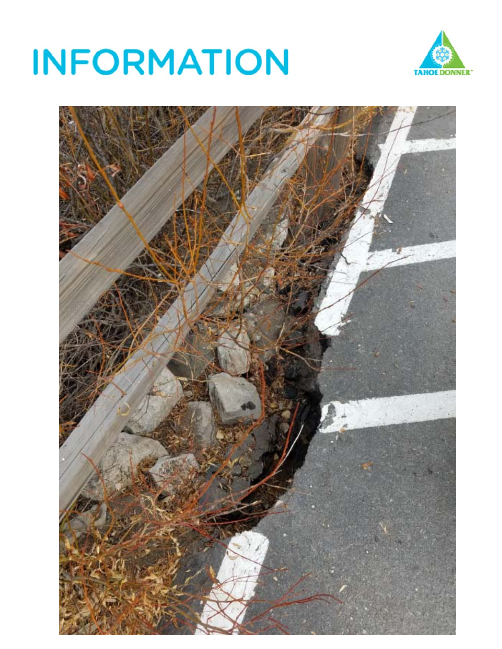